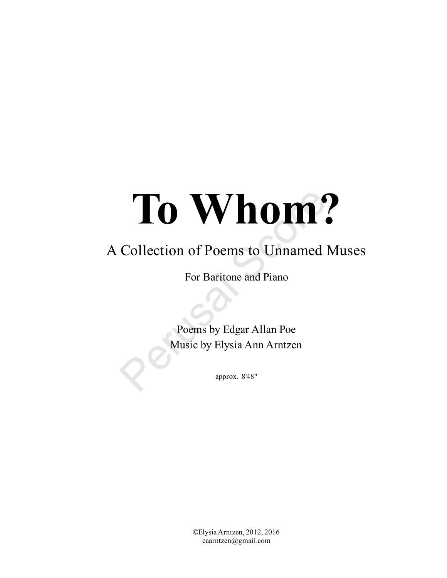# **To Whom?**<br>
Collection of Poems to Unnamed Mus<br>
For Baritone and Piano<br>
Poems by Edgar Allan Poe<br>
Music by Elysia Ann Arntzen<br>
Rusic by Elysia Ann Arntzen<br>
Rusic by Elysia Ann Arntzen

# A Collection of Poems to Unnamed Muses

For Baritone and Piano

Poems by Edgar Allan Poe Music by Elysia Ann Arntzen

approx. 8'48"

©ElysiaArntzen, 2012, 2016 eaarntzen@gmail.com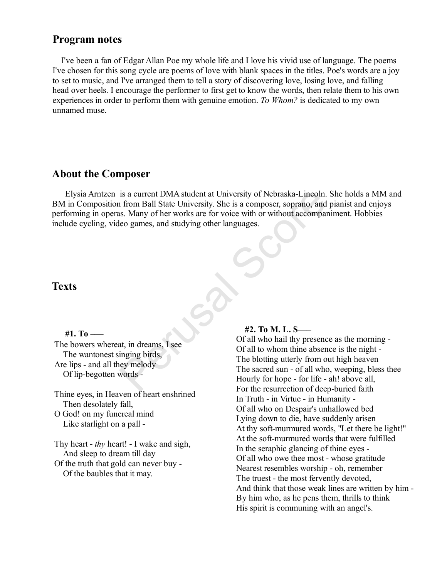## **Program notes**

I've been a fan of Edgar Allan Poe my whole life and I love his vivid use of language. The poems I've chosen for this song cycle are poems of love with blank spaces in the titles. Poe's words are a joy to set to music, and I've arranged them to tell a story of discovering love, losing love, and falling head over heels. I encourage the performer to first get to know the words, then relate them to his own experiences in order to perform them with genuine emotion. *To Whom?* is dedicated to my own unnamed muse.

# **About the Composer**

Elysia Arntzen is a current DMA student at University of Nebraska-Lincoln. She holds a MM and BM in Composition from Ball State University. She is a composer, soprano, and pianist and enjoys performing in operas. Many of her works are for voice with or without accompaniment. Hobbies include cycling, video games, and studying other languages. is a current DMA student at University of Nebraska-Lincoln.<br>
In from Ball State University. She is a composer, soprano, and<br>
is. Many of her works are for voice with or without accompare<br>
eo games, and studying other langu

# **Texts**

### **#1. To –––**

The bowers whereat, in dreams, I see The wantonest singing birds, Are lips - and all they melody Of lip-begotten words -

Thine eyes, in Heaven of heart enshrined Then desolately fall,

O God! on my funereal mind Like starlight on a pall -

Thy heart - *thy* heart! - I wake and sigh, And sleep to dream till day Of the truth that gold can never buy - Of the baubles that it may.

### **#2. To M. L. S–––**

Of all who hail thy presence as the morning - Of all to whom thine absence is the night - The blotting utterly from out high heaven The sacred sun - of all who, weeping, bless thee Hourly for hope - for life - ah! above all, For the resurrection of deep-buried faith In Truth - in Virtue - in Humanity - Of all who on Despair's unhallowed bed Lying down to die, have suddenly arisen At thy soft-murmured words, "Let there be light!" At the soft-murmured words that were fulfilled In the seraphic glancing of thine eyes - Of all who owe thee most - whose gratitude Nearest resembles worship - oh, remember The truest - the most fervently devoted, And think that those weak lines are written by him - By him who, as he pens them, thrills to think His spirit is communing with an angel's.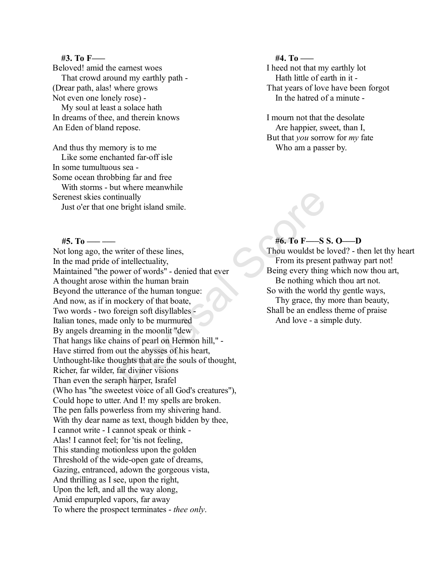### **#3. To F–––**

Beloved! amid the earnest woes

That crowd around my earthly path - (Drear path, alas! where grows Not even one lonely rose) -

My soul at least a solace hath In dreams of thee, and therein knows An Eden of bland repose.

And thus thy memory is to me Like some enchanted far-off isle In some tumultuous sea - Some ocean throbbing far and free With storms - but where meanwhile Serenest skies continually Just o'er that one bright island smile.

### **#4. To –––**

I heed not that my earthly lot Hath little of earth in it - That years of love have been forgot In the hatred of a minute -

I mourn not that the desolate Are happier, sweet, than I, But that *you* sorrow for *my* fate Who am a passer by.

# **#5. To ––– –––** Not long ago, the writer of these lines, In the mad pride of intellectuality, Maintained "the power of words" - denied that ever A thought arose within the human brain Beyond the utterance of the human tongue: And now, as if in mockery of that boate, Two words - two foreign soft disyllables - Italian tones, made only to be murmured By angels dreaming in the moonlit "dew That hangs like chains of pearl on Hermon hill," - Have stirred from out the abysses of his heart, Unthought-like thoughts that are the souls of thought, Richer, far wilder, far diviner visions Than even the seraph harper, Israfel (Who has "the sweetest voice of all God's creatures"), Could hope to utter. And I! my spells are broken. The pen falls powerless from my shivering hand. With thy dear name as text, though bidden by thee, I cannot write - I cannot speak or think - Alas! I cannot feel; for 'tis not feeling, This standing motionless upon the golden Threshold of the wide-open gate of dreams, Gazing, entranced, adown the gorgeous vista, And thrilling as I see, upon the right, Upon the left, and all the way along, Amid empurpled vapors, far away To where the prospect terminates - *thee only*. Figure 1.1 and Scotland Scotland Scotland Scotland Scotland Scotland Scotland Scotland Scotland Scotland Scotland Scotland Scotland Scotland Scotland Scotland Scotland Scotland Scotland Scotland Scotland Scotland Scotland

### **#6. To F–––S S. O–––D**

Thou wouldst be loved? - then let thy heart From its present pathway part not! Being every thing which now thou art, Be nothing which thou art not. So with the world thy gentle ways, Thy grace, thy more than beauty, Shall be an endless theme of praise And love - a simple duty.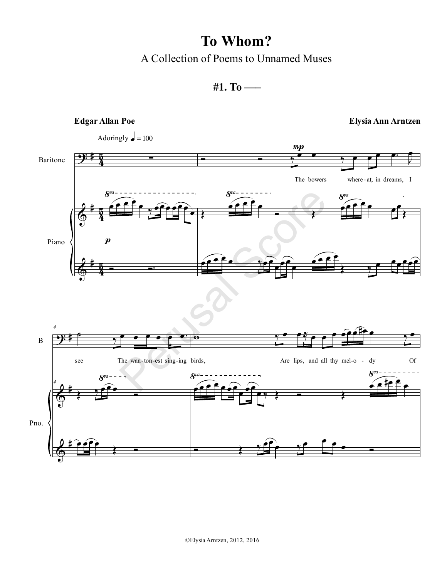A Collection of Poems to Unnamed Muses



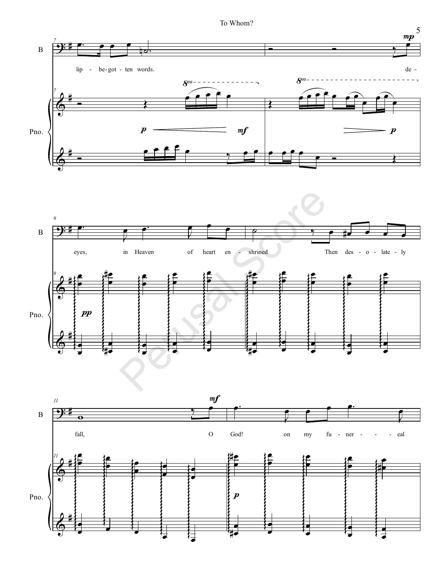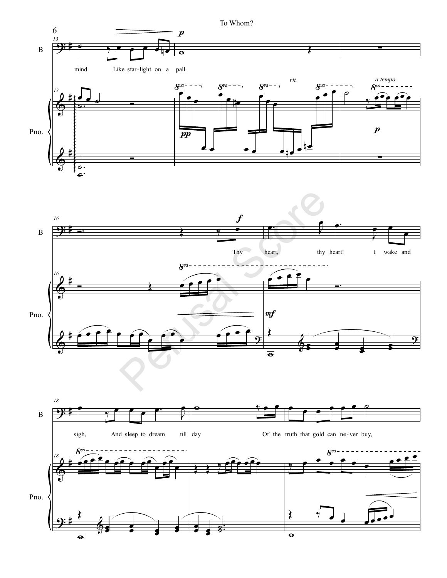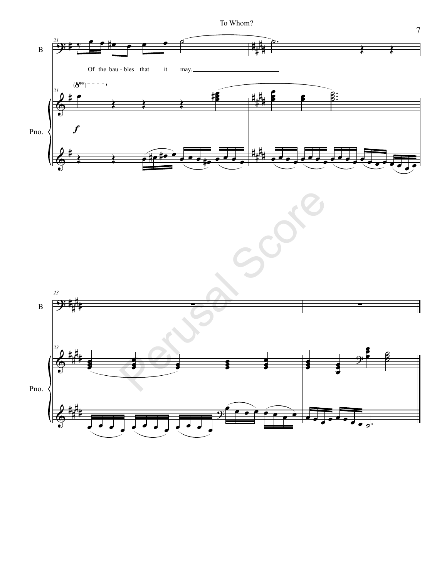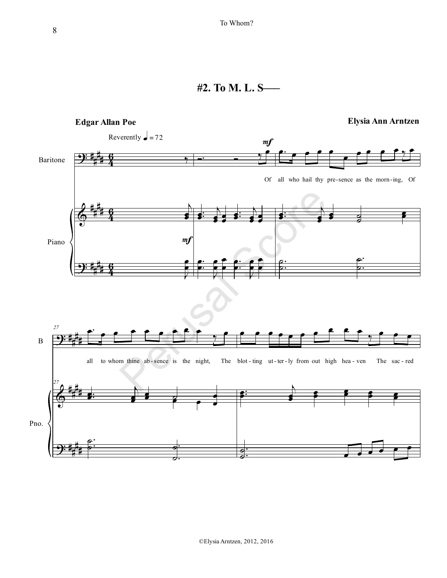# **#2. To M. L. S–––**

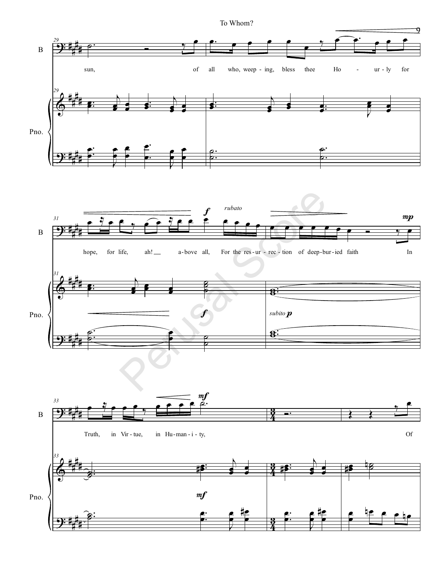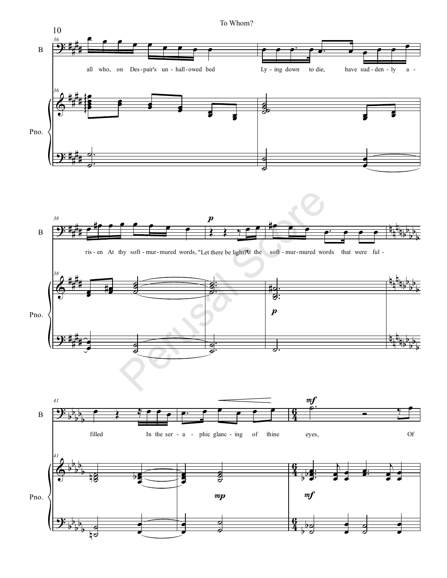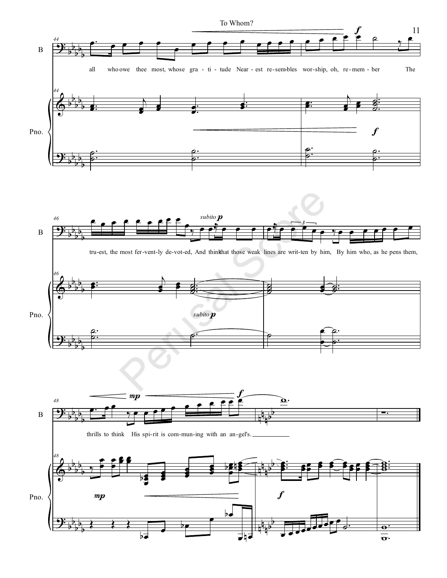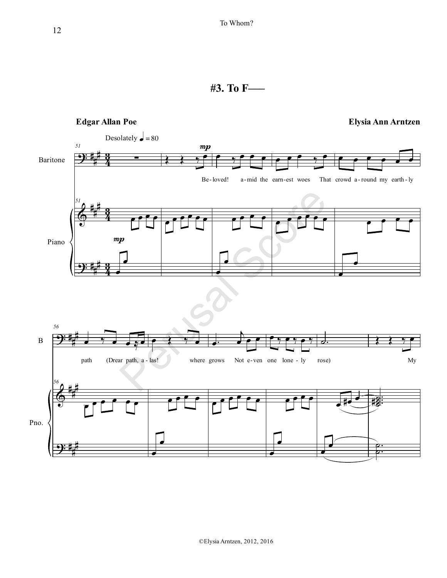# **#3. To F–––**

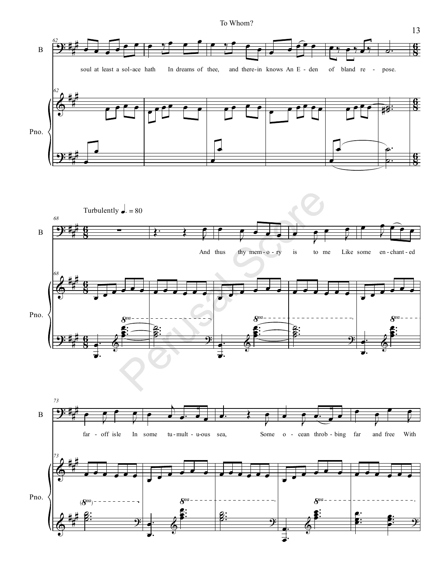

13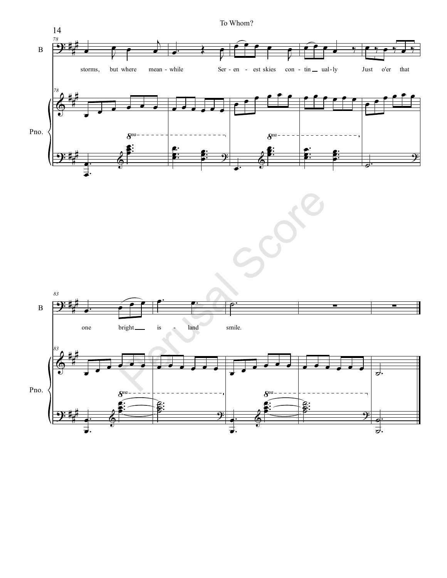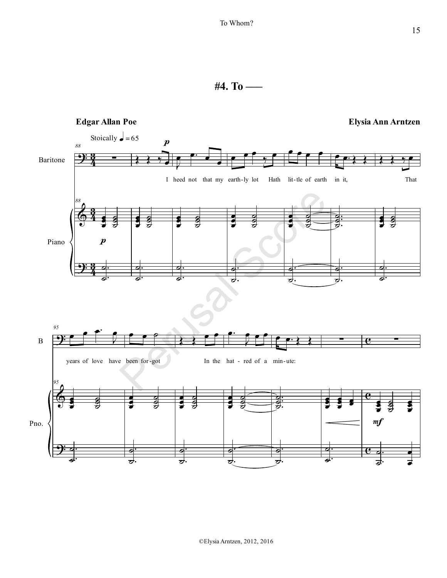**#4. To –––**

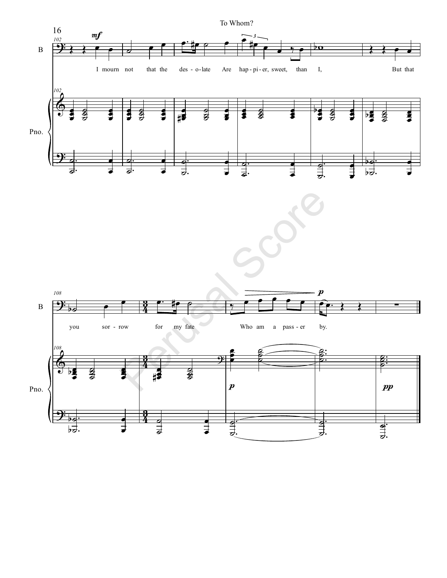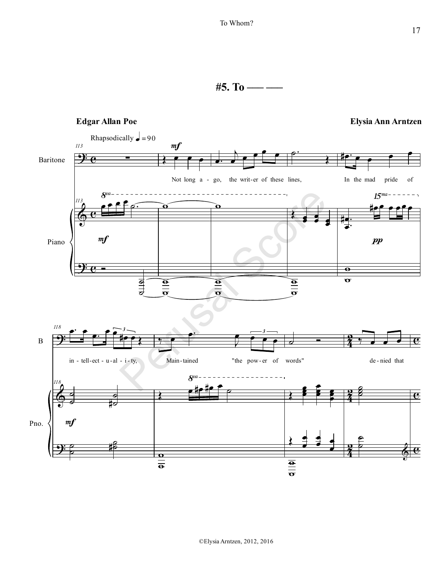**#5. To ––– –––**

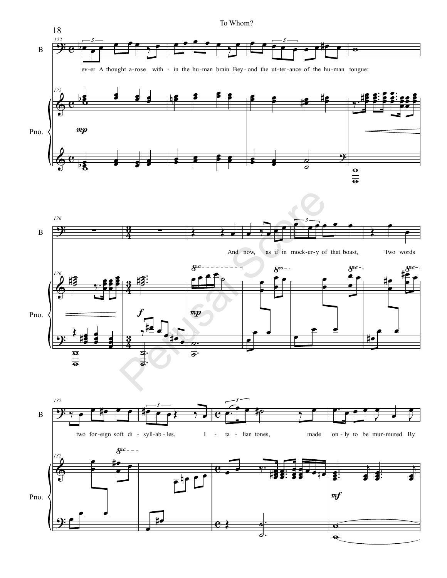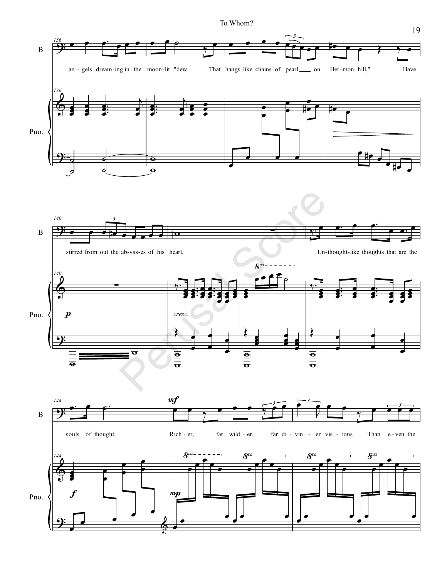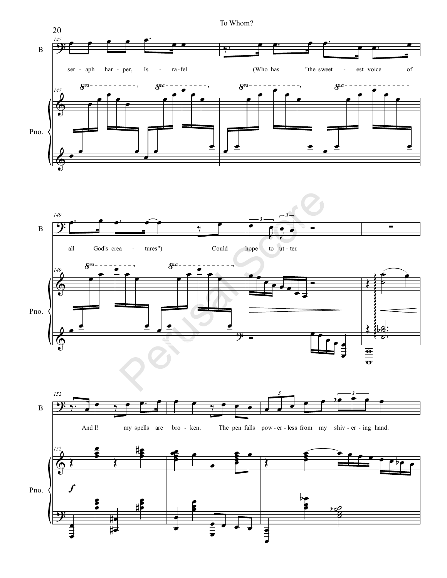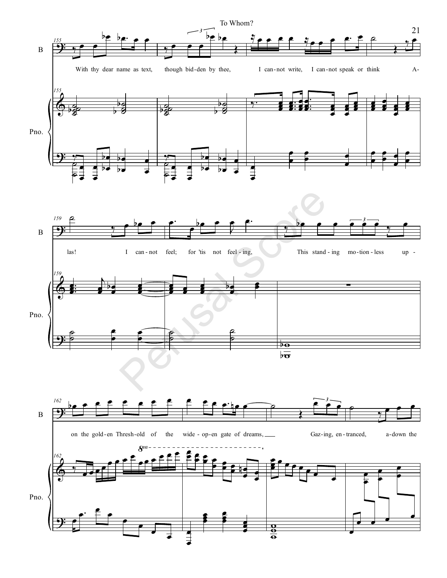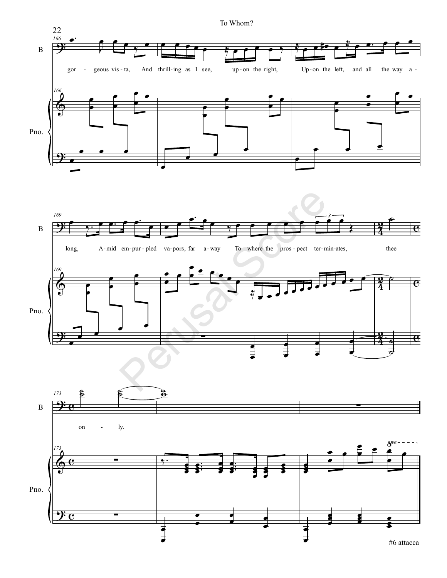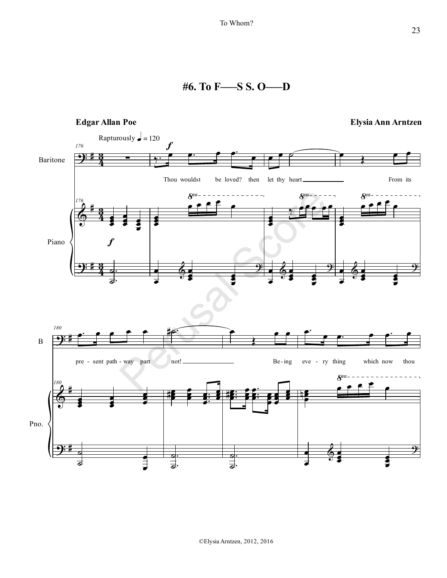**#6. To F–––S S. O–––D**

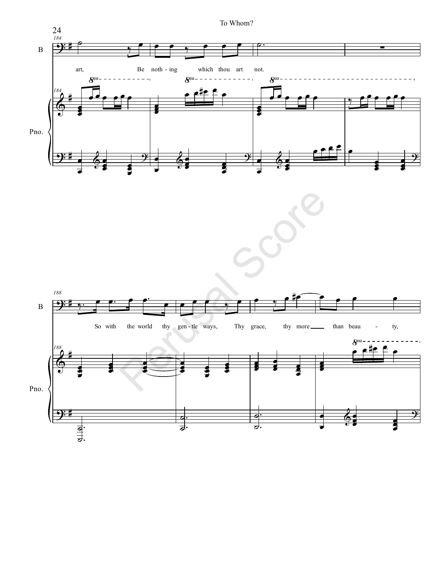